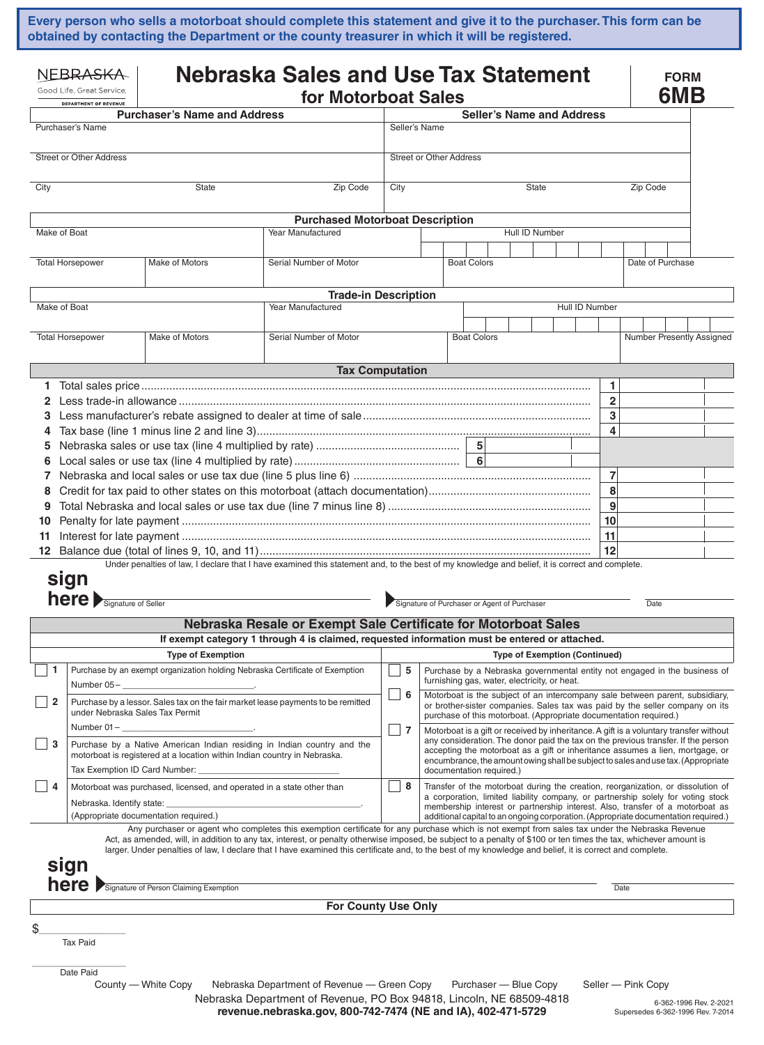**Every person who sells a motorboat should complete this statement and give it to the purchaser. This form can be obtained by contacting the Department or the county treasurer in which it will be registered.**

| NFBRA <del>SKA</del><br>Good Life, Great Service.<br>DEPARTMENT OF REVENUE                                                                               |                                                                                                                     | <b>Nebraska Sales and Use Tax Statement</b><br>for Motorboat Sales    |                                                                                                                                                                                                                                                                                                                               |               |                                                                                                                                                                                                                                                         |  |                    |  |                                                                                                                                                                                                                                                          |                |        | <b>FORM</b><br>6MB      |                           |  |                  |                                                             |  |
|----------------------------------------------------------------------------------------------------------------------------------------------------------|---------------------------------------------------------------------------------------------------------------------|-----------------------------------------------------------------------|-------------------------------------------------------------------------------------------------------------------------------------------------------------------------------------------------------------------------------------------------------------------------------------------------------------------------------|---------------|---------------------------------------------------------------------------------------------------------------------------------------------------------------------------------------------------------------------------------------------------------|--|--------------------|--|----------------------------------------------------------------------------------------------------------------------------------------------------------------------------------------------------------------------------------------------------------|----------------|--------|-------------------------|---------------------------|--|------------------|-------------------------------------------------------------|--|
|                                                                                                                                                          |                                                                                                                     | <b>Purchaser's Name and Address</b>                                   |                                                                                                                                                                                                                                                                                                                               |               |                                                                                                                                                                                                                                                         |  |                    |  | <b>Seller's Name and Address</b>                                                                                                                                                                                                                         |                |        |                         |                           |  |                  |                                                             |  |
| Purchaser's Name                                                                                                                                         |                                                                                                                     |                                                                       |                                                                                                                                                                                                                                                                                                                               |               | Seller's Name                                                                                                                                                                                                                                           |  |                    |  |                                                                                                                                                                                                                                                          |                |        |                         |                           |  |                  |                                                             |  |
| <b>Street or Other Address</b>                                                                                                                           |                                                                                                                     |                                                                       |                                                                                                                                                                                                                                                                                                                               |               | <b>Street or Other Address</b>                                                                                                                                                                                                                          |  |                    |  |                                                                                                                                                                                                                                                          |                |        |                         |                           |  |                  |                                                             |  |
| City<br><b>State</b>                                                                                                                                     |                                                                                                                     |                                                                       | Zip Code                                                                                                                                                                                                                                                                                                                      | City<br>State |                                                                                                                                                                                                                                                         |  |                    |  |                                                                                                                                                                                                                                                          | Zip Code       |        |                         |                           |  |                  |                                                             |  |
|                                                                                                                                                          |                                                                                                                     |                                                                       | <b>Purchased Motorboat Description</b>                                                                                                                                                                                                                                                                                        |               |                                                                                                                                                                                                                                                         |  |                    |  |                                                                                                                                                                                                                                                          |                |        |                         |                           |  |                  |                                                             |  |
| Make of Boat                                                                                                                                             |                                                                                                                     |                                                                       | Year Manufactured                                                                                                                                                                                                                                                                                                             |               |                                                                                                                                                                                                                                                         |  |                    |  | Hull ID Number                                                                                                                                                                                                                                           |                |        |                         |                           |  |                  |                                                             |  |
| <b>Total Horsepower</b><br>Make of Motors                                                                                                                |                                                                                                                     |                                                                       | Serial Number of Motor                                                                                                                                                                                                                                                                                                        |               |                                                                                                                                                                                                                                                         |  | <b>Boat Colors</b> |  |                                                                                                                                                                                                                                                          |                |        |                         |                           |  | Date of Purchase |                                                             |  |
|                                                                                                                                                          |                                                                                                                     |                                                                       | <b>Trade-in Description</b>                                                                                                                                                                                                                                                                                                   |               |                                                                                                                                                                                                                                                         |  |                    |  |                                                                                                                                                                                                                                                          |                |        |                         |                           |  |                  |                                                             |  |
| Make of Boat                                                                                                                                             |                                                                                                                     |                                                                       | Year Manufactured                                                                                                                                                                                                                                                                                                             |               |                                                                                                                                                                                                                                                         |  |                    |  |                                                                                                                                                                                                                                                          | Hull ID Number |        |                         |                           |  |                  |                                                             |  |
|                                                                                                                                                          | <b>Total Horsepower</b>                                                                                             | Make of Motors                                                        | Serial Number of Motor                                                                                                                                                                                                                                                                                                        |               |                                                                                                                                                                                                                                                         |  | <b>Boat Colors</b> |  |                                                                                                                                                                                                                                                          |                |        |                         | Number Presently Assigned |  |                  |                                                             |  |
|                                                                                                                                                          |                                                                                                                     |                                                                       | <b>Tax Computation</b>                                                                                                                                                                                                                                                                                                        |               |                                                                                                                                                                                                                                                         |  |                    |  |                                                                                                                                                                                                                                                          |                |        |                         |                           |  |                  |                                                             |  |
| 1.                                                                                                                                                       |                                                                                                                     |                                                                       |                                                                                                                                                                                                                                                                                                                               |               |                                                                                                                                                                                                                                                         |  |                    |  |                                                                                                                                                                                                                                                          |                |        | 1                       |                           |  |                  |                                                             |  |
| 2                                                                                                                                                        |                                                                                                                     |                                                                       |                                                                                                                                                                                                                                                                                                                               |               |                                                                                                                                                                                                                                                         |  |                    |  |                                                                                                                                                                                                                                                          |                |        | $\overline{\mathbf{2}}$ |                           |  |                  |                                                             |  |
| 4                                                                                                                                                        | 3                                                                                                                   |                                                                       |                                                                                                                                                                                                                                                                                                                               |               |                                                                                                                                                                                                                                                         |  |                    |  |                                                                                                                                                                                                                                                          |                | 3<br>4 |                         |                           |  |                  |                                                             |  |
| 5                                                                                                                                                        |                                                                                                                     |                                                                       |                                                                                                                                                                                                                                                                                                                               |               |                                                                                                                                                                                                                                                         |  | 5 <sup>1</sup>     |  |                                                                                                                                                                                                                                                          |                |        |                         |                           |  |                  |                                                             |  |
| 6                                                                                                                                                        |                                                                                                                     |                                                                       |                                                                                                                                                                                                                                                                                                                               |               |                                                                                                                                                                                                                                                         |  |                    |  |                                                                                                                                                                                                                                                          |                |        |                         |                           |  |                  |                                                             |  |
| 7                                                                                                                                                        |                                                                                                                     |                                                                       |                                                                                                                                                                                                                                                                                                                               |               |                                                                                                                                                                                                                                                         |  |                    |  | $\overline{7}$                                                                                                                                                                                                                                           |                |        |                         |                           |  |                  |                                                             |  |
| 8                                                                                                                                                        |                                                                                                                     |                                                                       |                                                                                                                                                                                                                                                                                                                               |               |                                                                                                                                                                                                                                                         |  |                    |  | 8                                                                                                                                                                                                                                                        |                |        |                         |                           |  |                  |                                                             |  |
| 9                                                                                                                                                        |                                                                                                                     |                                                                       |                                                                                                                                                                                                                                                                                                                               |               |                                                                                                                                                                                                                                                         |  |                    |  | $\boldsymbol{9}$                                                                                                                                                                                                                                         |                |        |                         |                           |  |                  |                                                             |  |
| 10                                                                                                                                                       |                                                                                                                     |                                                                       |                                                                                                                                                                                                                                                                                                                               |               |                                                                                                                                                                                                                                                         |  |                    |  | 10                                                                                                                                                                                                                                                       |                |        |                         |                           |  |                  |                                                             |  |
| 11<br>12                                                                                                                                                 |                                                                                                                     |                                                                       |                                                                                                                                                                                                                                                                                                                               |               |                                                                                                                                                                                                                                                         |  |                    |  |                                                                                                                                                                                                                                                          |                |        | 11<br>12                |                           |  |                  |                                                             |  |
|                                                                                                                                                          |                                                                                                                     |                                                                       | Under penalties of law, I declare that I have examined this statement and, to the best of my knowledge and belief, it is correct and complete.                                                                                                                                                                                |               |                                                                                                                                                                                                                                                         |  |                    |  |                                                                                                                                                                                                                                                          |                |        |                         |                           |  |                  |                                                             |  |
|                                                                                                                                                          | sign                                                                                                                |                                                                       |                                                                                                                                                                                                                                                                                                                               |               |                                                                                                                                                                                                                                                         |  |                    |  |                                                                                                                                                                                                                                                          |                |        |                         |                           |  |                  |                                                             |  |
| <b>here</b> Signature of Seller                                                                                                                          |                                                                                                                     | Signature of Purchaser or Agent of Purchaser                          |                                                                                                                                                                                                                                                                                                                               |               |                                                                                                                                                                                                                                                         |  |                    |  |                                                                                                                                                                                                                                                          |                | Date   |                         |                           |  |                  |                                                             |  |
|                                                                                                                                                          |                                                                                                                     |                                                                       | Nebraska Resale or Exempt Sale Certificate for Motorboat Sales                                                                                                                                                                                                                                                                |               |                                                                                                                                                                                                                                                         |  |                    |  |                                                                                                                                                                                                                                                          |                |        |                         |                           |  |                  |                                                             |  |
|                                                                                                                                                          |                                                                                                                     |                                                                       | If exempt category 1 through 4 is claimed, requested information must be entered or attached.                                                                                                                                                                                                                                 |               |                                                                                                                                                                                                                                                         |  |                    |  |                                                                                                                                                                                                                                                          |                |        |                         |                           |  |                  |                                                             |  |
|                                                                                                                                                          |                                                                                                                     | <b>Type of Exemption</b>                                              |                                                                                                                                                                                                                                                                                                                               |               |                                                                                                                                                                                                                                                         |  |                    |  | <b>Type of Exemption (Continued)</b>                                                                                                                                                                                                                     |                |        |                         |                           |  |                  |                                                             |  |
|                                                                                                                                                          | $\mathbf{1}$<br>Purchase by an exempt organization holding Nebraska Certificate of Exemption                        |                                                                       |                                                                                                                                                                                                                                                                                                                               |               | 5                                                                                                                                                                                                                                                       |  |                    |  | Purchase by a Nebraska governmental entity not engaged in the business of<br>furnishing gas, water, electricity, or heat.                                                                                                                                |                |        |                         |                           |  |                  |                                                             |  |
| $\overline{\mathbf{2}}$                                                                                                                                  | Purchase by a lessor. Sales tax on the fair market lease payments to be remitted<br>under Nebraska Sales Tax Permit |                                                                       |                                                                                                                                                                                                                                                                                                                               | 6             |                                                                                                                                                                                                                                                         |  |                    |  | Motorboat is the subject of an intercompany sale between parent, subsidiary,<br>or brother-sister companies. Sales tax was paid by the seller company on its                                                                                             |                |        |                         |                           |  |                  |                                                             |  |
|                                                                                                                                                          | Number $01 -$                                                                                                       |                                                                       |                                                                                                                                                                                                                                                                                                                               |               | 7                                                                                                                                                                                                                                                       |  |                    |  | purchase of this motorboat. (Appropriate documentation required.)<br>Motorboat is a gift or received by inheritance. A gift is a voluntary transfer without                                                                                              |                |        |                         |                           |  |                  |                                                             |  |
| 3<br>Purchase by a Native American Indian residing in Indian country and the<br>motorboat is registered at a location within Indian country in Nebraska. |                                                                                                                     |                                                                       |                                                                                                                                                                                                                                                                                                                               |               | any consideration. The donor paid the tax on the previous transfer. If the person<br>accepting the motorboat as a gift or inheritance assumes a lien, mortgage, or<br>encumbrance, the amount owing shall be subject to sales and use tax. (Appropriate |  |                    |  |                                                                                                                                                                                                                                                          |                |        |                         |                           |  |                  |                                                             |  |
|                                                                                                                                                          | Tax Exemption ID Card Number:                                                                                       |                                                                       | documentation required.)                                                                                                                                                                                                                                                                                                      |               |                                                                                                                                                                                                                                                         |  |                    |  |                                                                                                                                                                                                                                                          |                |        |                         |                           |  |                  |                                                             |  |
| $\vert$ 4                                                                                                                                                |                                                                                                                     | Motorboat was purchased, licensed, and operated in a state other than |                                                                                                                                                                                                                                                                                                                               | 8             |                                                                                                                                                                                                                                                         |  |                    |  | Transfer of the motorboat during the creation, reorganization, or dissolution of                                                                                                                                                                         |                |        |                         |                           |  |                  |                                                             |  |
|                                                                                                                                                          |                                                                                                                     | (Appropriate documentation required.)                                 |                                                                                                                                                                                                                                                                                                                               |               |                                                                                                                                                                                                                                                         |  |                    |  | a corporation, limited liability company, or partnership solely for voting stock<br>membership interest or partnership interest. Also, transfer of a motorboat as<br>additional capital to an ongoing corporation. (Appropriate documentation required.) |                |        |                         |                           |  |                  |                                                             |  |
|                                                                                                                                                          |                                                                                                                     |                                                                       | Any purchaser or agent who completes this exemption certificate for any purchase which is not exempt from sales tax under the Nebraska Revenue                                                                                                                                                                                |               |                                                                                                                                                                                                                                                         |  |                    |  |                                                                                                                                                                                                                                                          |                |        |                         |                           |  |                  |                                                             |  |
|                                                                                                                                                          |                                                                                                                     |                                                                       | Act, as amended, will, in addition to any tax, interest, or penalty otherwise imposed, be subject to a penalty of \$100 or ten times the tax, whichever amount is<br>larger. Under penalties of law, I declare that I have examined this certificate and, to the best of my knowledge and belief, it is correct and complete. |               |                                                                                                                                                                                                                                                         |  |                    |  |                                                                                                                                                                                                                                                          |                |        |                         |                           |  |                  |                                                             |  |
|                                                                                                                                                          | sign                                                                                                                |                                                                       |                                                                                                                                                                                                                                                                                                                               |               |                                                                                                                                                                                                                                                         |  |                    |  |                                                                                                                                                                                                                                                          |                |        |                         |                           |  |                  |                                                             |  |
| <b>here</b> Signature of Person Claiming Exemption                                                                                                       |                                                                                                                     |                                                                       |                                                                                                                                                                                                                                                                                                                               |               |                                                                                                                                                                                                                                                         |  |                    |  |                                                                                                                                                                                                                                                          |                |        | Date                    |                           |  |                  |                                                             |  |
|                                                                                                                                                          |                                                                                                                     |                                                                       | <b>For County Use Only</b>                                                                                                                                                                                                                                                                                                    |               |                                                                                                                                                                                                                                                         |  |                    |  |                                                                                                                                                                                                                                                          |                |        |                         |                           |  |                  |                                                             |  |
| \$.                                                                                                                                                      |                                                                                                                     |                                                                       |                                                                                                                                                                                                                                                                                                                               |               |                                                                                                                                                                                                                                                         |  |                    |  |                                                                                                                                                                                                                                                          |                |        |                         |                           |  |                  |                                                             |  |
|                                                                                                                                                          | <b>Tax Paid</b>                                                                                                     |                                                                       |                                                                                                                                                                                                                                                                                                                               |               |                                                                                                                                                                                                                                                         |  |                    |  |                                                                                                                                                                                                                                                          |                |        |                         |                           |  |                  |                                                             |  |
|                                                                                                                                                          | Date Paid                                                                                                           |                                                                       |                                                                                                                                                                                                                                                                                                                               |               |                                                                                                                                                                                                                                                         |  |                    |  |                                                                                                                                                                                                                                                          |                |        |                         |                           |  |                  |                                                             |  |
|                                                                                                                                                          |                                                                                                                     | County — White Copy                                                   | Nebraska Department of Revenue - Green Copy                                                                                                                                                                                                                                                                                   |               |                                                                                                                                                                                                                                                         |  |                    |  | Purchaser - Blue Copy                                                                                                                                                                                                                                    |                |        |                         | Seller — Pink Copy        |  |                  |                                                             |  |
|                                                                                                                                                          |                                                                                                                     |                                                                       | Nebraska Department of Revenue, PO Box 94818, Lincoln, NE 68509-4818<br>revenue.nebraska.gov, 800-742-7474 (NE and IA), 402-471-5729                                                                                                                                                                                          |               |                                                                                                                                                                                                                                                         |  |                    |  |                                                                                                                                                                                                                                                          |                |        |                         |                           |  |                  | 6-362-1996 Rev. 2-2021<br>Supersedes 6-362-1996 Rev. 7-2014 |  |